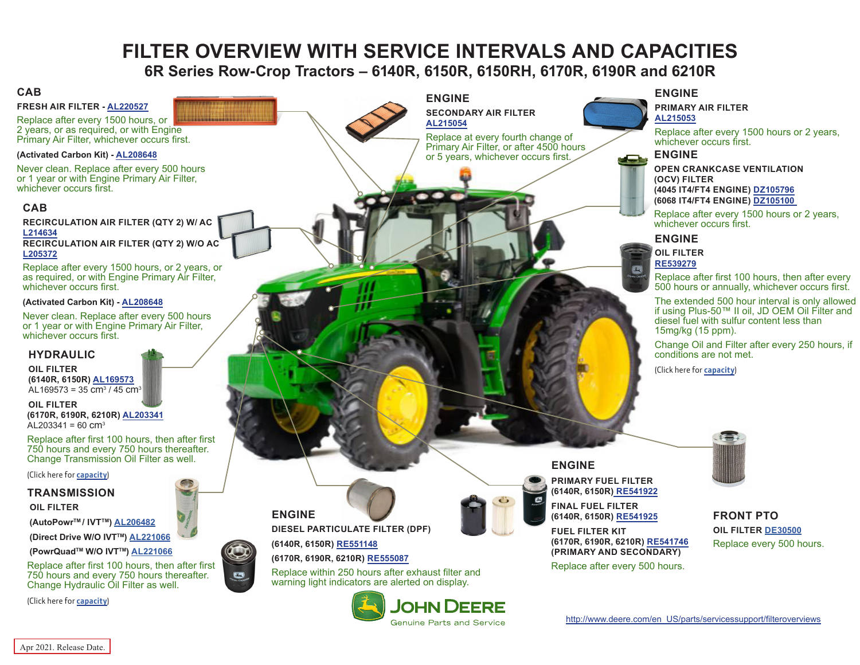# **FILTER OVERVIEW WITH SERVICE INTERVALS AND CAPACITIES 6R Series Row-Crop Tractors – 6140R, 6150R, 6150RH, 6170R, 6190R and 6210R**

**ENGINE**

**[AL215054](https://jdparts.deere.com/servlet/com.deere.u90.jdparts.view.servlets.partinfocontroller.PartDetails?screenName=JDSearch&&partSearchNumber=AL215054)**

**SECONDARY AIR FILTER**

Replace at every fourth change of Primary Air Filter, or after 4500 hours or 5 years, whichever occurs first.

#### <span id="page-0-0"></span>**CAB**

**FRESH AIR FILTER - [AL220527](https://jdparts.deere.com/servlet/com.deere.u90.jdparts.view.servlets.partinfocontroller.PartDetails?screenName=JDSearch&&partSearchNumber=AL220527)**

Replace after every 1500 hours, or 2 years, or as required, or with Engine Primary Air Filter, whichever occurs first.

#### **(Activated Carbon Kit) - [AL208648](https://jdparts.deere.com/servlet/com.deere.u90.jdparts.view.servlets.partinfocontroller.PartDetails?screenName=JDSearch&&partSearchNumber=AL208648)**

Never clean. Replace after every 500 hours or 1 year or with Engine Primary Air Filter, whichever occurs first.

#### **CAB**

**RECIRCULATION AIR FILTER (QTY 2) W/ AC [L214634](https://jdparts.deere.com/servlet/com.deere.u90.jdparts.view.servlets.partinfocontroller.PartDetails?screenName=JDSearch&&partSearchNumber=L214634) RECIRCULATION AIR FILTER (QTY 2) W/O AC [L205372](https://jdparts.deere.com/servlet/com.deere.u90.jdparts.view.servlets.partinfocontroller.PartDetails?screenName=JDSearch&&partSearchNumber=L205372)**

Replace after every 1500 hours, or 2 years, or as required, or with Engine Primary Air Filter, whichever occurs first.

#### **(Activated Carbon Kit) - [AL208648](https://jdparts.deere.com/servlet/com.deere.u90.jdparts.view.servlets.partinfocontroller.PartDetails?screenName=JDSearch&&partSearchNumber=AL208648)**

Never clean. Replace after every 500 hours or 1 year or with Engine Primary Air Filter, whichever occurs first.

#### **HYDRAULIC**

**OIL FILTER (6140R, 6150R) [AL169573](https://jdparts.deere.com/servlet/com.deere.u90.jdparts.view.servlets.partinfocontroller.PartDetails?screenName=JDSearch&&partSearchNumber=AL169573)** AL169573 = 35 cm<sup>3</sup> / 45 cm<sup>3</sup>

**OIL FILTER (6170R, 6190R, 6210R) [AL203341](https://jdparts.deere.com/servlet/com.deere.u90.jdparts.view.servlets.partinfocontroller.PartDetails?screenName=JDSearch&&partSearchNumber=AL203341)**  $AL203341 = 60$  cm<sup>3</sup>

Replace after first 100 hours, then after first 750 hours and every 750 hours thereafter. Change Transmission Oil Filter as well.

(Click here for **capacity**)

#### **TRANSMISSION**

 **OIL FILTER**

 **(AutoPowrTM / IVTTM) [AL206482](https://jdparts.deere.com/servlet/com.deere.u90.jdparts.view.servlets.partinfocontroller.PartDetails?screenName=JDSearch&&partSearchNumber=AL206482)**

 **(Direct Drive W/O IVTTM) [AL221066](https://jdparts.deere.com/servlet/com.deere.u90.jdparts.view.servlets.partinfocontroller.PartDetails?screenName=JDSearch&&partSearchNumber=AL221066)**

**(PowrQuadTM W/O IVTTM) [AL221066](https://jdparts.deere.com/servlet/com.deere.u90.jdparts.view.servlets.partinfocontroller.PartDetails?screenName=JDSearch&&partSearchNumber=AL221066)**

Replace after first 100 hours, then after first 750 hours and every 750 hours thereafter. Change Hydraulic Oil Filter as well.

(Click here for **capacity**)



#### **ENGINE**

**DIESEL PARTICULATE FILTER (DPF)**

**(6140R, 6150R) [RE551148](https://jdparts.deere.com/servlet/com.deere.u90.jdparts.view.servlets.partinfocontroller.PartDetails?screenName=JDSearch&&partSearchNumber=RE551148)**

#### **(6170R, 6190R, 6210R) [RE555087](https://jdparts.deere.com/servlet/com.deere.u90.jdparts.view.servlets.partinfocontroller.PartDetails?screenName=JDSearch&&partSearchNumber=RE555087)**

Replace within 250 hours after exhaust filter and warning light indicators are alerted on display.



# **ENGINE**

 $\bigodot$ 

**PRIMARY AIR FILTER [AL215053](https://jdparts.deere.com/servlet/com.deere.u90.jdparts.view.servlets.partinfocontroller.PartDetails?screenName=JDSearch&&partSearchNumber=AL215053)**

Replace after every 1500 hours or 2 years, whichever occurs first.

#### **ENGINE**

**OPEN CRANKCASE VENTILATION (OCV) FILTER (4045 IT4/FT4 ENGINE) [DZ105796](https://jdparts.deere.com/servlet/com.deere.u90.jdparts.view.servlets.partinfocontroller.PartDetails?screenName=JDSearch&&partSearchNumber=DZ105796)  (6068 IT4/FT4 ENGINE) [DZ105100](https://jdparts.deere.com/servlet/com.deere.u90.jdparts.view.servlets.partinfocontroller.PartDetails?screenName=JDSearch&&partSearchNumber=DZ105100)**

Replace after every 1500 hours or 2 years, whichever occurs first.

#### **ENGINE**

**OIL FILTER [RE539279](https://jdparts.deere.com/servlet/com.deere.u90.jdparts.view.servlets.partinfocontroller.PartDetails?screenName=JDSearch&&partSearchNumber=RE539279)**

Replace after first 100 hours, then after every 500 hours or annually, whichever occurs first.

The extended 500 hour interval is only allowed if using Plus-50™ II oil, JD OEM Oil Filter and diesel fuel with sulfur content less than 15mg/kg (15 ppm).

Change Oil and Filter after every 250 hours, if conditions are not met.

(Click here for **capacity**)



**PRIMARY FUEL FILTER (6140R, 6150R) [RE541922](https://jdparts.deere.com/servlet/com.deere.u90.jdparts.view.servlets.partinfocontroller.PartDetails?screenName=JDSearch&&partSearchNumber=RE541922)**

**FINAL FUEL FILTER (6140R, 6150R) [RE541925](https://jdparts.deere.com/servlet/com.deere.u90.jdparts.view.servlets.partinfocontroller.PartDetails?screenName=JDSearch&&partSearchNumber=RE541925)**

**FUEL FILTER KIT (6170R, 6190R, 6210R) [RE541746](https://jdparts.deere.com/servlet/com.deere.u90.jdparts.view.servlets.partinfocontroller.PartDetails?screenName=JDSearch&&partSearchNumber=RE541746) (PRIMARY AND SECONDARY)**

Replace after every 500 hours.

#### **FRONT PTO OIL FILTER [DE30500](https://jdparts.deere.com/servlet/com.deere.u90.jdparts.view.servlets.partinfocontroller.PartDetails?screenName=JDSearch&&partSearchNumber=DE30500)** Replace every 500 hours.

[http://www.deere.com/en\\_US/parts/servicessupport/filteroverviews](http://www.deere.com/en_US/parts/servicessupport/filteroverviews)